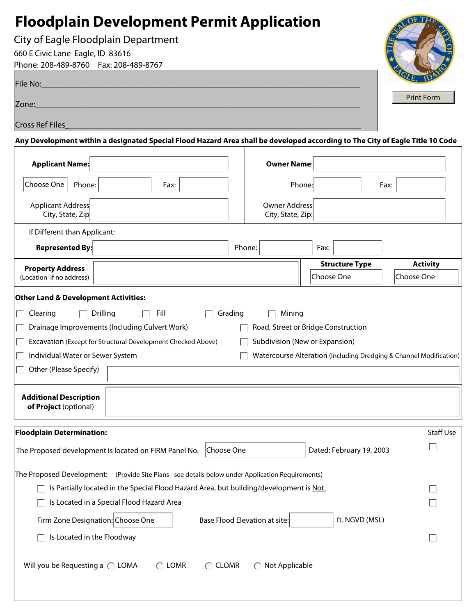# **Floodplain Development Permit Application**

City of Eagle Floodplain Department

Phone: 208-489-8760 Fax: 208-489-8767 660 E Civic Lane Eagle, ID 83616

Г

| File No:        | $\mathbf{X}$ |
|-----------------|--------------|
| Zone:           | Print For    |
| Cross Ref Files |              |

**Any Development within a designated Special Flood Hazard Area shall be developed according to The City of Eagle Title 10 Code**

| <b>Applicant Name:</b>                                 |                                                                                                                        |                  | <b>Owner Name:</b>                 |                                                                       |                                                                    |
|--------------------------------------------------------|------------------------------------------------------------------------------------------------------------------------|------------------|------------------------------------|-----------------------------------------------------------------------|--------------------------------------------------------------------|
| Choose One<br>Phone:                                   | Fax:                                                                                                                   |                  | Phone:                             |                                                                       | Fax:                                                               |
| Applicant Address<br>City, State, Zip                  |                                                                                                                        |                  | Owner Address<br>City, State, Zip: |                                                                       |                                                                    |
| If Different than Applicant:                           |                                                                                                                        |                  |                                    |                                                                       |                                                                    |
| <b>Represented By:</b>                                 |                                                                                                                        |                  | Phone:                             | Fax:                                                                  |                                                                    |
| <b>Property Address</b><br>(Location if no address)    |                                                                                                                        |                  |                                    | <b>Structure Type</b><br>Choose One                                   | <b>Activity</b><br>Choose One                                      |
| <b>Other Land &amp; Development Activities:</b>        |                                                                                                                        |                  |                                    |                                                                       |                                                                    |
| Clearing<br>Drilling                                   | Fill<br>Drainage Improvements (Including Culvert Work)<br>Excavation (Except for Structural Development Checked Above) | Grading          | Mining                             | Road, Street or Bridge Construction<br>Subdivision (New or Expansion) |                                                                    |
| Individual Water or Sewer System                       |                                                                                                                        |                  |                                    |                                                                       | Watercourse Alteration (Including Dredging & Channel Modification) |
| Other (Please Specify)                                 |                                                                                                                        |                  |                                    |                                                                       |                                                                    |
| <b>Additional Description</b><br>of Project (optional) |                                                                                                                        |                  |                                    |                                                                       |                                                                    |
| <b>Floodplain Determination:</b>                       |                                                                                                                        |                  |                                    |                                                                       | Staff Use                                                          |
|                                                        | The Proposed development is located on FIRM Panel No.                                                                  | Choose One       |                                    | Dated: February 19, 2003                                              |                                                                    |
|                                                        | The Proposed Development: (Provide Site Plans - see details below under Application Requirements)                      |                  |                                    |                                                                       |                                                                    |
|                                                        | Is Partially located in the Special Flood Hazard Area, but building/development is Not.                                |                  |                                    |                                                                       |                                                                    |
|                                                        | $\Box$ Is Located in a Special Flood Hazard Area                                                                       |                  |                                    |                                                                       | $\Box$                                                             |
| Firm Zone Designation: Choose One                      |                                                                                                                        |                  | Base Flood Elevation at site:      | ft. NGVD (MSL)                                                        |                                                                    |
| Is Located in the Floodway                             |                                                                                                                        |                  |                                    |                                                                       |                                                                    |
| Will you be Requesting a $\bigcirc$ LOMA               | $\bigcirc$ LOMR                                                                                                        | $\bigcirc$ CLOMR | $\bigcirc$ Not Applicable          |                                                                       |                                                                    |

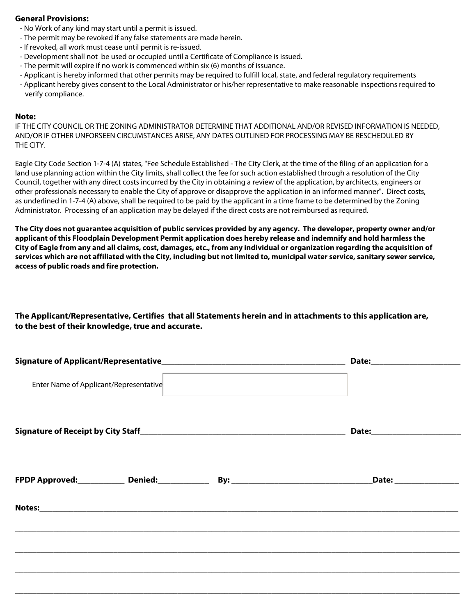### **General Provisions:**

- No Work of any kind may start until a permit is issued.
- The permit may be revoked if any false statements are made herein.
- If revoked, all work must cease until permit is re-issued.
- Development shall not be used or occupied until a Certificate of Compliance is issued.
- The permit will expire if no work is commenced within six (6) months of issuance.
- Applicant is hereby informed that other permits may be required to fulfill local, state, and federal regulatory requirements
- Applicant hereby gives consent to the Local Administrator or his/her representative to make reasonable inspections required to verify compliance.

#### **Note:**

IF THE CITY COUNCIL OR THE ZONING ADMINISTRATOR DETERMINE THAT ADDITIONAL AND/OR REVISED INFORMATION IS NEEDED, AND/OR IF OTHER UNFORSEEN CIRCUMSTANCES ARISE, ANY DATES OUTLINED FOR PROCESSING MAY BE RESCHEDULED BY THE CITY.

Eagle City Code Section 1-7-4 (A) states, "Fee Schedule Established - The City Clerk, at the time of the filing of an application for a land use planning action within the City limits, shall collect the fee for such action established through a resolution of the City Council, together with any direct costs incurred by the City in obtaining a review of the application, by architects, engineers or other professionals necessary to enable the City of approve or disapprove the application in an informed manner". Direct costs, as underlined in 1-7-4 (A) above, shall be required to be paid by the applicant in a time frame to be determined by the Zoning Administrator. Processing of an application may be delayed if the direct costs are not reimbursed as required.

**The City does not guarantee acquisition of public services provided by any agency. The developer, property owner and/or applicant of this Floodplain Development Permit application does hereby release and indemnify and hold harmless the City of Eagle from any and all claims, cost, damages, etc., from any individual or organization regarding the acquisition of services which are not affiliated with the City, including but not limited to, municipal water service, sanitary sewer service, access of public roads and fire protection.** 

## **The Applicant/Representative, Certifies that all Statements herein and in attachments to this application are, to the best of their knowledge, true and accurate.**

| Enter Name of Applicant/Representative |  |  |  |  |  |  |
|----------------------------------------|--|--|--|--|--|--|
|                                        |  |  |  |  |  |  |
|                                        |  |  |  |  |  |  |
|                                        |  |  |  |  |  |  |
|                                        |  |  |  |  |  |  |
|                                        |  |  |  |  |  |  |